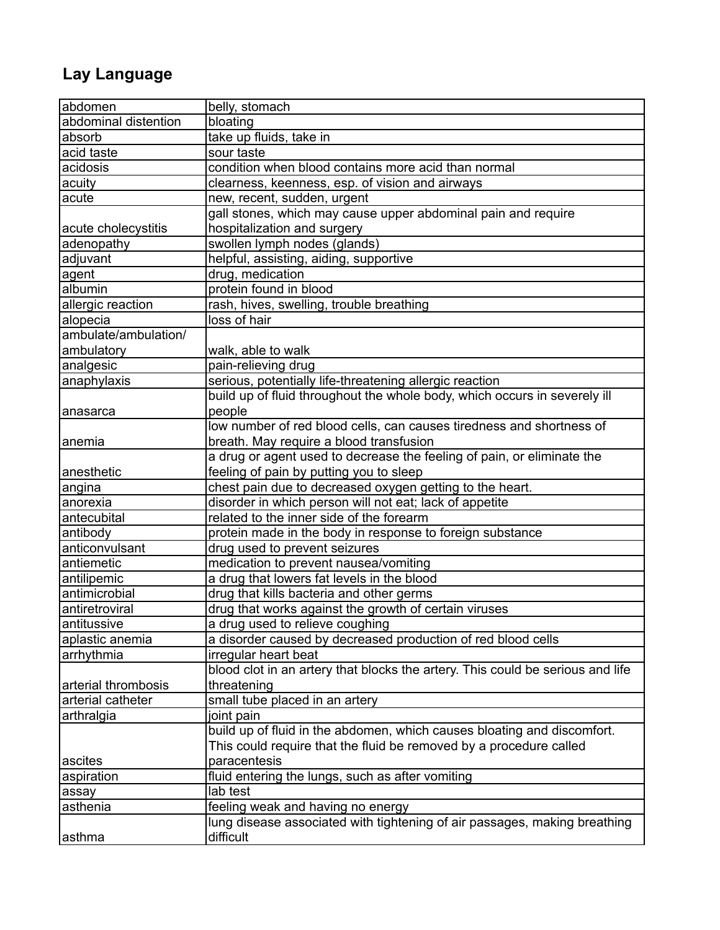## **Lay Language**

| abdomen              | belly, stomach                                                                 |
|----------------------|--------------------------------------------------------------------------------|
| abdominal distention | bloating                                                                       |
| absorb               | take up fluids, take in                                                        |
| acid taste           | sour taste                                                                     |
| acidosis             | condition when blood contains more acid than normal                            |
| acuity               | clearness, keenness, esp. of vision and airways                                |
| acute                | new, recent, sudden, urgent                                                    |
|                      | gall stones, which may cause upper abdominal pain and require                  |
| acute cholecystitis  | hospitalization and surgery                                                    |
| adenopathy           | swollen lymph nodes (glands)                                                   |
| adjuvant             | helpful, assisting, aiding, supportive                                         |
| agent                | drug, medication                                                               |
| albumin              | protein found in blood                                                         |
| allergic reaction    | rash, hives, swelling, trouble breathing                                       |
| alopecia             | loss of hair                                                                   |
| ambulate/ambulation/ |                                                                                |
| ambulatory           | walk, able to walk                                                             |
| analgesic            | pain-relieving drug                                                            |
| anaphylaxis          | serious, potentially life-threatening allergic reaction                        |
|                      | build up of fluid throughout the whole body, which occurs in severely ill      |
| anasarca             | people                                                                         |
|                      | low number of red blood cells, can causes tiredness and shortness of           |
| anemia               | breath. May require a blood transfusion                                        |
|                      | a drug or agent used to decrease the feeling of pain, or eliminate the         |
| anesthetic           | feeling of pain by putting you to sleep                                        |
| angina               | chest pain due to decreased oxygen getting to the heart.                       |
| anorexia             | disorder in which person will not eat; lack of appetite                        |
| antecubital          | related to the inner side of the forearm                                       |
| antibody             | protein made in the body in response to foreign substance                      |
| anticonvulsant       | drug used to prevent seizures                                                  |
| antiemetic           | medication to prevent nausea/vomiting                                          |
| antilipemic          | a drug that lowers fat levels in the blood                                     |
| antimicrobial        | drug that kills bacteria and other germs                                       |
| antiretroviral       | drug that works against the growth of certain viruses                          |
| antitussive          | a drug used to relieve coughing                                                |
| aplastic anemia      | a disorder caused by decreased production of red blood cells                   |
| arrhythmia           | irregular heart beat                                                           |
|                      | blood clot in an artery that blocks the artery. This could be serious and life |
| arterial thrombosis  | threatening                                                                    |
| arterial catheter    | small tube placed in an artery                                                 |
| arthralgia           | joint pain                                                                     |
|                      | build up of fluid in the abdomen, which causes bloating and discomfort.        |
|                      | This could require that the fluid be removed by a procedure called             |
| ascites              | paracentesis                                                                   |
| aspiration           | fluid entering the lungs, such as after vomiting                               |
| assay                | lab test                                                                       |
| asthenia             | feeling weak and having no energy                                              |
|                      | lung disease associated with tightening of air passages, making breathing      |
| asthma               | difficult                                                                      |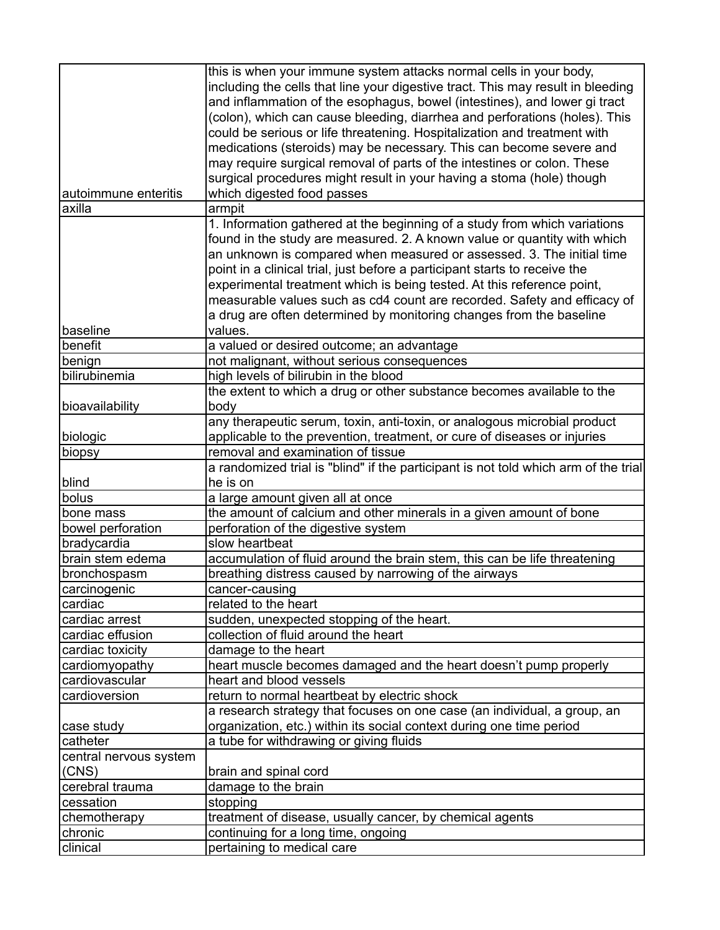|                        | this is when your immune system attacks normal cells in your body,<br>including the cells that line your digestive tract. This may result in bleeding<br>and inflammation of the esophagus, bowel (intestines), and lower gi tract<br>(colon), which can cause bleeding, diarrhea and perforations (holes). This<br>could be serious or life threatening. Hospitalization and treatment with                                                                                                                                              |
|------------------------|-------------------------------------------------------------------------------------------------------------------------------------------------------------------------------------------------------------------------------------------------------------------------------------------------------------------------------------------------------------------------------------------------------------------------------------------------------------------------------------------------------------------------------------------|
| autoimmune enteritis   | medications (steroids) may be necessary. This can become severe and<br>may require surgical removal of parts of the intestines or colon. These<br>surgical procedures might result in your having a stoma (hole) though<br>which digested food passes                                                                                                                                                                                                                                                                                     |
| axilla                 | armpit                                                                                                                                                                                                                                                                                                                                                                                                                                                                                                                                    |
|                        | 1. Information gathered at the beginning of a study from which variations<br>found in the study are measured. 2. A known value or quantity with which<br>an unknown is compared when measured or assessed. 3. The initial time<br>point in a clinical trial, just before a participant starts to receive the<br>experimental treatment which is being tested. At this reference point,<br>measurable values such as cd4 count are recorded. Safety and efficacy of<br>a drug are often determined by monitoring changes from the baseline |
| baseline               | values.                                                                                                                                                                                                                                                                                                                                                                                                                                                                                                                                   |
| benefit                | a valued or desired outcome; an advantage                                                                                                                                                                                                                                                                                                                                                                                                                                                                                                 |
| benign                 | not malignant, without serious consequences                                                                                                                                                                                                                                                                                                                                                                                                                                                                                               |
| bilirubinemia          | high levels of bilirubin in the blood                                                                                                                                                                                                                                                                                                                                                                                                                                                                                                     |
| bioavailability        | the extent to which a drug or other substance becomes available to the<br>body                                                                                                                                                                                                                                                                                                                                                                                                                                                            |
|                        | any therapeutic serum, toxin, anti-toxin, or analogous microbial product                                                                                                                                                                                                                                                                                                                                                                                                                                                                  |
| biologic               | applicable to the prevention, treatment, or cure of diseases or injuries                                                                                                                                                                                                                                                                                                                                                                                                                                                                  |
| biopsy                 | removal and examination of tissue                                                                                                                                                                                                                                                                                                                                                                                                                                                                                                         |
| blind                  | a randomized trial is "blind" if the participant is not told which arm of the trial<br>he is on                                                                                                                                                                                                                                                                                                                                                                                                                                           |
| bolus                  | a large amount given all at once                                                                                                                                                                                                                                                                                                                                                                                                                                                                                                          |
| bone mass              | the amount of calcium and other minerals in a given amount of bone                                                                                                                                                                                                                                                                                                                                                                                                                                                                        |
| bowel perforation      | perforation of the digestive system                                                                                                                                                                                                                                                                                                                                                                                                                                                                                                       |
| bradycardia            | slow heartbeat                                                                                                                                                                                                                                                                                                                                                                                                                                                                                                                            |
| brain stem edema       | accumulation of fluid around the brain stem, this can be life threatening                                                                                                                                                                                                                                                                                                                                                                                                                                                                 |
| bronchospasm           | breathing distress caused by narrowing of the airways                                                                                                                                                                                                                                                                                                                                                                                                                                                                                     |
| carcinogenic           | cancer-causing                                                                                                                                                                                                                                                                                                                                                                                                                                                                                                                            |
| cardiac                | related to the heart                                                                                                                                                                                                                                                                                                                                                                                                                                                                                                                      |
| cardiac arrest         | sudden, unexpected stopping of the heart.                                                                                                                                                                                                                                                                                                                                                                                                                                                                                                 |
| cardiac effusion       | collection of fluid around the heart                                                                                                                                                                                                                                                                                                                                                                                                                                                                                                      |
| cardiac toxicity       | damage to the heart                                                                                                                                                                                                                                                                                                                                                                                                                                                                                                                       |
| cardiomyopathy         | heart muscle becomes damaged and the heart doesn't pump properly                                                                                                                                                                                                                                                                                                                                                                                                                                                                          |
| cardiovascular         | heart and blood vessels                                                                                                                                                                                                                                                                                                                                                                                                                                                                                                                   |
| cardioversion          | return to normal heartbeat by electric shock                                                                                                                                                                                                                                                                                                                                                                                                                                                                                              |
|                        | a research strategy that focuses on one case (an individual, a group, an                                                                                                                                                                                                                                                                                                                                                                                                                                                                  |
| case study             | organization, etc.) within its social context during one time period                                                                                                                                                                                                                                                                                                                                                                                                                                                                      |
| catheter               | a tube for withdrawing or giving fluids                                                                                                                                                                                                                                                                                                                                                                                                                                                                                                   |
| central nervous system |                                                                                                                                                                                                                                                                                                                                                                                                                                                                                                                                           |
| (CNS)                  | brain and spinal cord                                                                                                                                                                                                                                                                                                                                                                                                                                                                                                                     |
| cerebral trauma        | damage to the brain                                                                                                                                                                                                                                                                                                                                                                                                                                                                                                                       |
| cessation              | stopping                                                                                                                                                                                                                                                                                                                                                                                                                                                                                                                                  |
| chemotherapy           | treatment of disease, usually cancer, by chemical agents                                                                                                                                                                                                                                                                                                                                                                                                                                                                                  |
| chronic                | continuing for a long time, ongoing                                                                                                                                                                                                                                                                                                                                                                                                                                                                                                       |
| clinical               | pertaining to medical care                                                                                                                                                                                                                                                                                                                                                                                                                                                                                                                |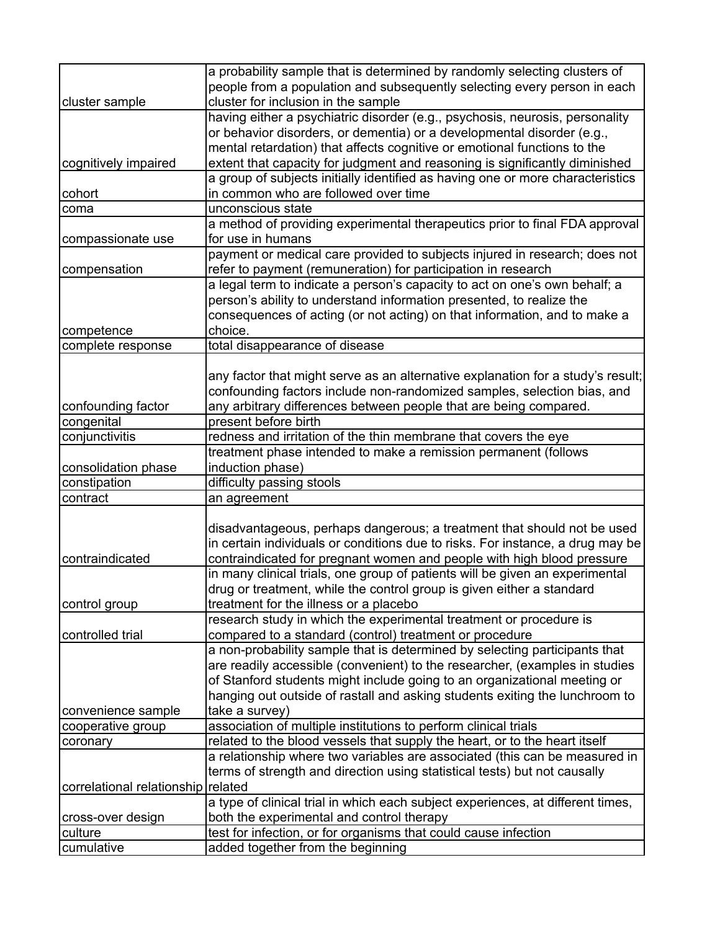|                                    | a probability sample that is determined by randomly selecting clusters of       |
|------------------------------------|---------------------------------------------------------------------------------|
|                                    | people from a population and subsequently selecting every person in each        |
| cluster sample                     | cluster for inclusion in the sample                                             |
|                                    | having either a psychiatric disorder (e.g., psychosis, neurosis, personality    |
|                                    | or behavior disorders, or dementia) or a developmental disorder (e.g.,          |
|                                    | mental retardation) that affects cognitive or emotional functions to the        |
| cognitively impaired               | extent that capacity for judgment and reasoning is significantly diminished     |
|                                    | a group of subjects initially identified as having one or more characteristics  |
| cohort                             | in common who are followed over time                                            |
| coma                               | unconscious state                                                               |
|                                    | a method of providing experimental therapeutics prior to final FDA approval     |
| compassionate use                  | for use in humans                                                               |
|                                    | payment or medical care provided to subjects injured in research; does not      |
| compensation                       | refer to payment (remuneration) for participation in research                   |
|                                    | a legal term to indicate a person's capacity to act on one's own behalf; a      |
|                                    | person's ability to understand information presented, to realize the            |
|                                    | consequences of acting (or not acting) on that information, and to make a       |
| competence                         | choice.                                                                         |
| complete response                  | total disappearance of disease                                                  |
|                                    |                                                                                 |
|                                    | any factor that might serve as an alternative explanation for a study's result; |
|                                    | confounding factors include non-randomized samples, selection bias, and         |
| confounding factor                 | any arbitrary differences between people that are being compared.               |
| congenital                         | present before birth                                                            |
| conjunctivitis                     | redness and irritation of the thin membrane that covers the eye                 |
|                                    | treatment phase intended to make a remission permanent (follows                 |
| consolidation phase                | induction phase)                                                                |
| constipation                       | difficulty passing stools                                                       |
| contract                           | an agreement                                                                    |
|                                    |                                                                                 |
|                                    | disadvantageous, perhaps dangerous; a treatment that should not be used         |
|                                    | in certain individuals or conditions due to risks. For instance, a drug may be  |
| contraindicated                    | contraindicated for pregnant women and people with high blood pressure          |
|                                    | in many clinical trials, one group of patients will be given an experimental    |
|                                    | drug or treatment, while the control group is given either a standard           |
| control group                      | treatment for the illness or a placebo                                          |
|                                    | research study in which the experimental treatment or procedure is              |
| controlled trial                   | compared to a standard (control) treatment or procedure                         |
|                                    | a non-probability sample that is determined by selecting participants that      |
|                                    | are readily accessible (convenient) to the researcher, (examples in studies     |
|                                    | of Stanford students might include going to an organizational meeting or        |
|                                    | hanging out outside of rastall and asking students exiting the lunchroom to     |
| convenience sample                 | take a survey)                                                                  |
| cooperative group                  | association of multiple institutions to perform clinical trials                 |
| coronary                           | related to the blood vessels that supply the heart, or to the heart itself      |
|                                    | a relationship where two variables are associated (this can be measured in      |
|                                    | terms of strength and direction using statistical tests) but not causally       |
| correlational relationship related |                                                                                 |
|                                    | a type of clinical trial in which each subject experiences, at different times, |
| cross-over design                  | both the experimental and control therapy                                       |
| culture                            | test for infection, or for organisms that could cause infection                 |
| cumulative                         | added together from the beginning                                               |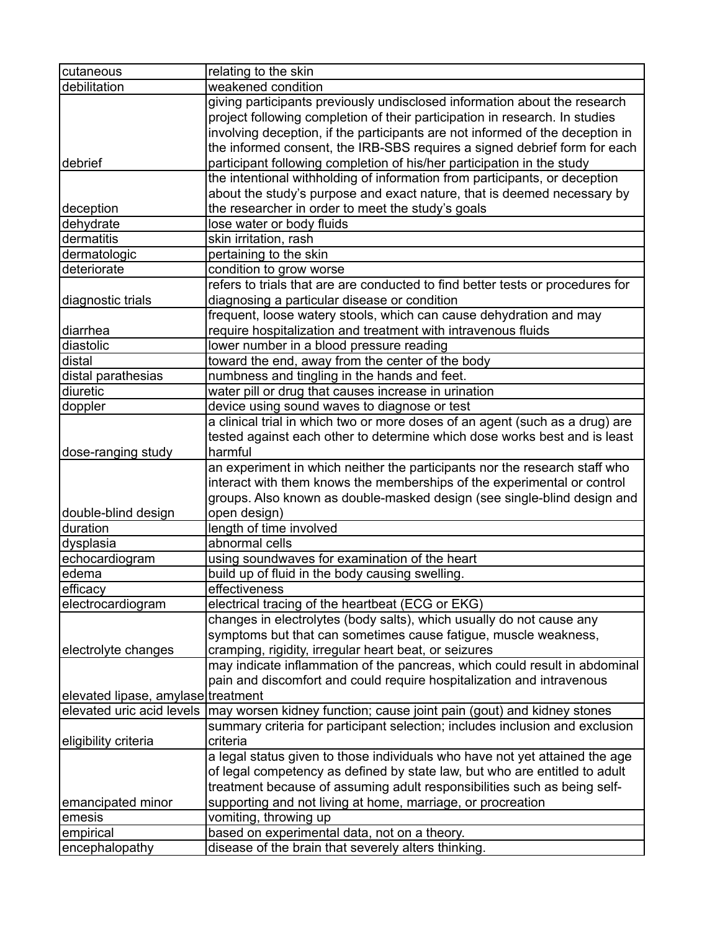| cutaneous                          | relating to the skin                                                                                                                                                                                                                      |
|------------------------------------|-------------------------------------------------------------------------------------------------------------------------------------------------------------------------------------------------------------------------------------------|
| debilitation                       | weakened condition                                                                                                                                                                                                                        |
|                                    | giving participants previously undisclosed information about the research<br>project following completion of their participation in research. In studies<br>involving deception, if the participants are not informed of the deception in |
| debrief                            | the informed consent, the IRB-SBS requires a signed debrief form for each<br>participant following completion of his/her participation in the study                                                                                       |
|                                    | the intentional withholding of information from participants, or deception                                                                                                                                                                |
|                                    | about the study's purpose and exact nature, that is deemed necessary by                                                                                                                                                                   |
| deception                          | the researcher in order to meet the study's goals                                                                                                                                                                                         |
| dehydrate                          | lose water or body fluids                                                                                                                                                                                                                 |
| dermatitis                         | skin irritation, rash                                                                                                                                                                                                                     |
| dermatologic                       | pertaining to the skin                                                                                                                                                                                                                    |
| deteriorate                        | condition to grow worse                                                                                                                                                                                                                   |
|                                    | refers to trials that are are conducted to find better tests or procedures for                                                                                                                                                            |
| diagnostic trials                  | diagnosing a particular disease or condition                                                                                                                                                                                              |
|                                    | frequent, loose watery stools, which can cause dehydration and may                                                                                                                                                                        |
| diarrhea                           | require hospitalization and treatment with intravenous fluids                                                                                                                                                                             |
| diastolic                          | lower number in a blood pressure reading                                                                                                                                                                                                  |
| distal                             | toward the end, away from the center of the body                                                                                                                                                                                          |
| distal parathesias                 | numbness and tingling in the hands and feet.                                                                                                                                                                                              |
| diuretic                           | water pill or drug that causes increase in urination                                                                                                                                                                                      |
| doppler                            | device using sound waves to diagnose or test                                                                                                                                                                                              |
|                                    | a clinical trial in which two or more doses of an agent (such as a drug) are                                                                                                                                                              |
|                                    | tested against each other to determine which dose works best and is least                                                                                                                                                                 |
| dose-ranging study                 | harmful                                                                                                                                                                                                                                   |
|                                    | an experiment in which neither the participants nor the research staff who<br>interact with them knows the memberships of the experimental or control<br>groups. Also known as double-masked design (see single-blind design and          |
| double-blind design                | open design)                                                                                                                                                                                                                              |
| duration                           | length of time involved                                                                                                                                                                                                                   |
| dysplasia                          | abnormal cells                                                                                                                                                                                                                            |
| echocardiogram                     | using soundwaves for examination of the heart                                                                                                                                                                                             |
| edema                              | build up of fluid in the body causing swelling.                                                                                                                                                                                           |
| efficacy                           | effectiveness                                                                                                                                                                                                                             |
| electrocardiogram                  | electrical tracing of the heartbeat (ECG or EKG)                                                                                                                                                                                          |
|                                    | changes in electrolytes (body salts), which usually do not cause any                                                                                                                                                                      |
|                                    | symptoms but that can sometimes cause fatigue, muscle weakness,                                                                                                                                                                           |
| electrolyte changes                | cramping, rigidity, irregular heart beat, or seizures                                                                                                                                                                                     |
|                                    | may indicate inflammation of the pancreas, which could result in abdominal                                                                                                                                                                |
|                                    | pain and discomfort and could require hospitalization and intravenous                                                                                                                                                                     |
| elevated lipase, amylase treatment |                                                                                                                                                                                                                                           |
| elevated uric acid levels          | may worsen kidney function; cause joint pain (gout) and kidney stones                                                                                                                                                                     |
|                                    | summary criteria for participant selection; includes inclusion and exclusion                                                                                                                                                              |
| eligibility criteria               | criteria                                                                                                                                                                                                                                  |
|                                    | a legal status given to those individuals who have not yet attained the age                                                                                                                                                               |
|                                    | of legal competency as defined by state law, but who are entitled to adult                                                                                                                                                                |
|                                    | treatment because of assuming adult responsibilities such as being self-                                                                                                                                                                  |
| emancipated minor                  | supporting and not living at home, marriage, or procreation                                                                                                                                                                               |
| emesis                             | vomiting, throwing up                                                                                                                                                                                                                     |
| empirical                          | based on experimental data, not on a theory.                                                                                                                                                                                              |
| encephalopathy                     | disease of the brain that severely alters thinking.                                                                                                                                                                                       |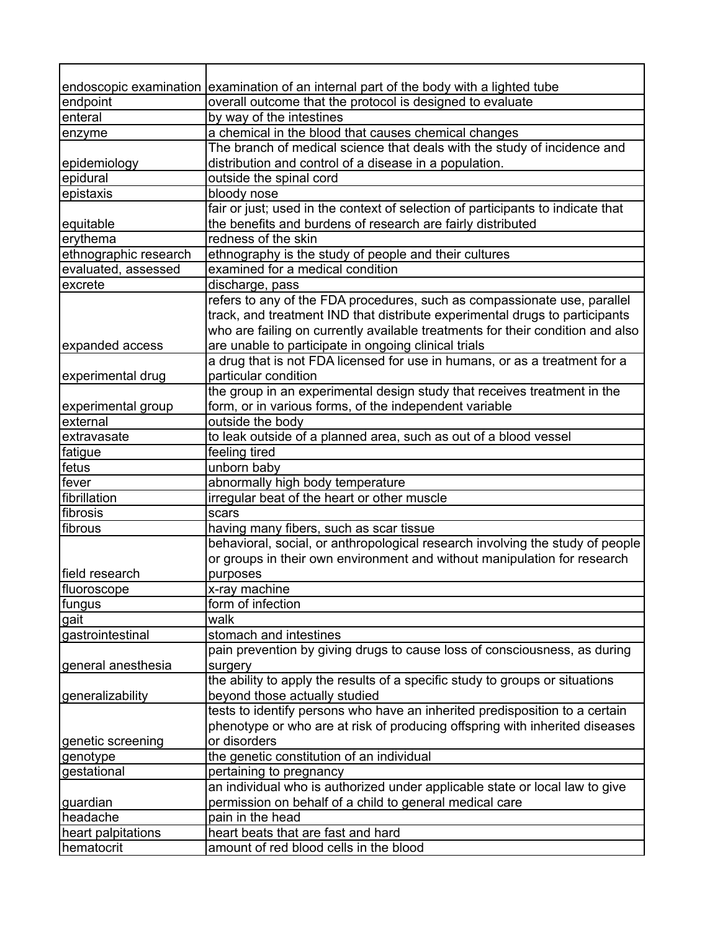|                       | endoscopic examination examination of an internal part of the body with a lighted tube |
|-----------------------|----------------------------------------------------------------------------------------|
| endpoint              | overall outcome that the protocol is designed to evaluate                              |
| enteral               | by way of the intestines                                                               |
| enzyme                | a chemical in the blood that causes chemical changes                                   |
|                       | The branch of medical science that deals with the study of incidence and               |
| epidemiology          | distribution and control of a disease in a population.                                 |
| epidural              | outside the spinal cord                                                                |
| epistaxis             | bloody nose                                                                            |
|                       | fair or just; used in the context of selection of participants to indicate that        |
| equitable             | the benefits and burdens of research are fairly distributed                            |
| erythema              | redness of the skin                                                                    |
| ethnographic research | ethnography is the study of people and their cultures                                  |
| evaluated, assessed   | examined for a medical condition                                                       |
| excrete               | discharge, pass                                                                        |
|                       | refers to any of the FDA procedures, such as compassionate use, parallel               |
|                       | track, and treatment IND that distribute experimental drugs to participants            |
|                       | who are failing on currently available treatments for their condition and also         |
| expanded access       | are unable to participate in ongoing clinical trials                                   |
|                       | a drug that is not FDA licensed for use in humans, or as a treatment for a             |
| experimental drug     | particular condition                                                                   |
|                       | the group in an experimental design study that receives treatment in the               |
| experimental group    | form, or in various forms, of the independent variable                                 |
| external              | outside the body                                                                       |
| extravasate           | to leak outside of a planned area, such as out of a blood vessel                       |
| fatigue               | feeling tired                                                                          |
| fetus                 | unborn baby                                                                            |
| fever                 | abnormally high body temperature                                                       |
| fibrillation          | irregular beat of the heart or other muscle                                            |
| fibrosis              | scars                                                                                  |
| fibrous               | having many fibers, such as scar tissue                                                |
|                       | behavioral, social, or anthropological research involving the study of people          |
|                       | or groups in their own environment and without manipulation for research               |
| field research        | purposes                                                                               |
| fluoroscope           | x-ray machine                                                                          |
| fungus                | form of infection                                                                      |
| gait                  | walk                                                                                   |
| gastrointestinal      | stomach and intestines                                                                 |
|                       | pain prevention by giving drugs to cause loss of consciousness, as during              |
| general anesthesia    | surgery                                                                                |
|                       | the ability to apply the results of a specific study to groups or situations           |
| generalizability      | beyond those actually studied                                                          |
|                       | tests to identify persons who have an inherited predisposition to a certain            |
|                       | phenotype or who are at risk of producing offspring with inherited diseases            |
| genetic screening     | or disorders                                                                           |
| genotype              | the genetic constitution of an individual                                              |
| gestational           | pertaining to pregnancy                                                                |
|                       | an individual who is authorized under applicable state or local law to give            |
| guardian              | permission on behalf of a child to general medical care                                |
| headache              | pain in the head                                                                       |
| heart palpitations    | heart beats that are fast and hard                                                     |
| hematocrit            | amount of red blood cells in the blood                                                 |
|                       |                                                                                        |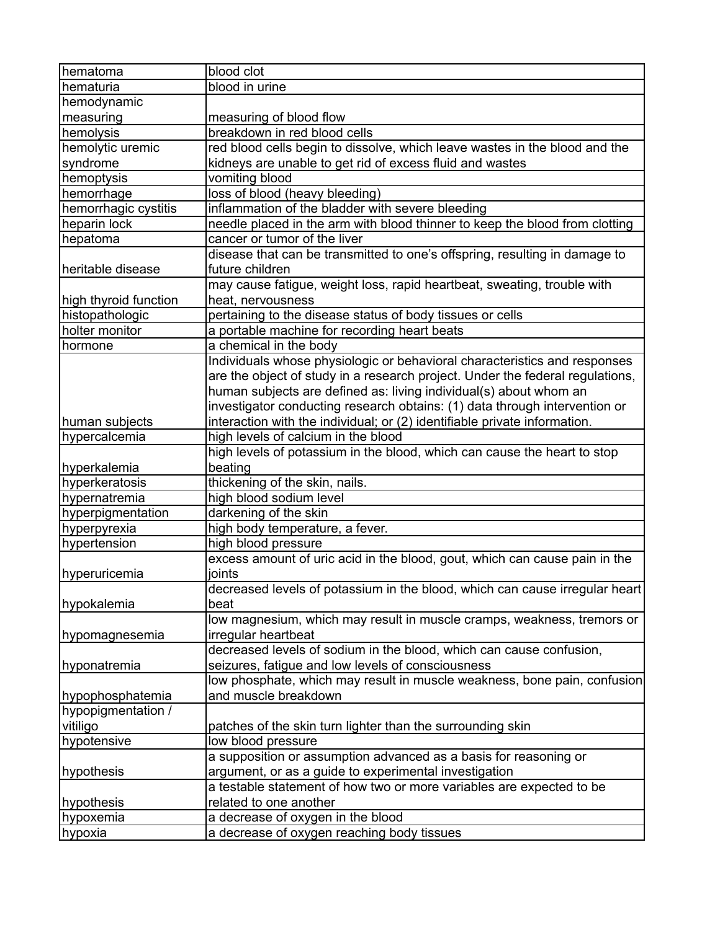| hematoma              | blood clot                                                                    |
|-----------------------|-------------------------------------------------------------------------------|
| hematuria             | blood in urine                                                                |
| hemodynamic           |                                                                               |
| measuring             | measuring of blood flow                                                       |
| hemolysis             | breakdown in red blood cells                                                  |
| hemolytic uremic      | red blood cells begin to dissolve, which leave wastes in the blood and the    |
| syndrome              | kidneys are unable to get rid of excess fluid and wastes                      |
| hemoptysis            | vomiting blood                                                                |
| hemorrhage            | loss of blood (heavy bleeding)                                                |
| hemorrhagic cystitis  | inflammation of the bladder with severe bleeding                              |
| heparin lock          | needle placed in the arm with blood thinner to keep the blood from clotting   |
| hepatoma              | cancer or tumor of the liver                                                  |
|                       | disease that can be transmitted to one's offspring, resulting in damage to    |
| heritable disease     | future children                                                               |
|                       | may cause fatigue, weight loss, rapid heartbeat, sweating, trouble with       |
| high thyroid function | heat, nervousness                                                             |
| histopathologic       | pertaining to the disease status of body tissues or cells                     |
| holter monitor        | a portable machine for recording heart beats                                  |
| hormone               | a chemical in the body                                                        |
|                       | Individuals whose physiologic or behavioral characteristics and responses     |
|                       | are the object of study in a research project. Under the federal regulations, |
|                       | human subjects are defined as: living individual(s) about whom an             |
|                       | investigator conducting research obtains: (1) data through intervention or    |
| human subjects        | interaction with the individual; or (2) identifiable private information.     |
| hypercalcemia         | high levels of calcium in the blood                                           |
|                       | high levels of potassium in the blood, which can cause the heart to stop      |
| hyperkalemia          | beating                                                                       |
| hyperkeratosis        | thickening of the skin, nails.                                                |
| hypernatremia         | high blood sodium level                                                       |
| hyperpigmentation     | darkening of the skin                                                         |
| hyperpyrexia          | high body temperature, a fever.                                               |
| hypertension          | high blood pressure                                                           |
|                       | excess amount of uric acid in the blood, gout, which can cause pain in the    |
| hyperuricemia         | joints                                                                        |
|                       | decreased levels of potassium in the blood, which can cause irregular heart   |
| hypokalemia           | beat                                                                          |
|                       | low magnesium, which may result in muscle cramps, weakness, tremors or        |
| hypomagnesemia        | irregular heartbeat                                                           |
|                       | decreased levels of sodium in the blood, which can cause confusion,           |
| hyponatremia          | seizures, fatigue and low levels of consciousness                             |
|                       | low phosphate, which may result in muscle weakness, bone pain, confusion      |
| hypophosphatemia      | and muscle breakdown                                                          |
| hypopigmentation /    |                                                                               |
| vitiligo              | patches of the skin turn lighter than the surrounding skin                    |
| hypotensive           | low blood pressure                                                            |
|                       | a supposition or assumption advanced as a basis for reasoning or              |
| hypothesis            | argument, or as a guide to experimental investigation                         |
|                       | a testable statement of how two or more variables are expected to be          |
| hypothesis            | related to one another                                                        |
| hypoxemia             | a decrease of oxygen in the blood                                             |
| hypoxia               | a decrease of oxygen reaching body tissues                                    |
|                       |                                                                               |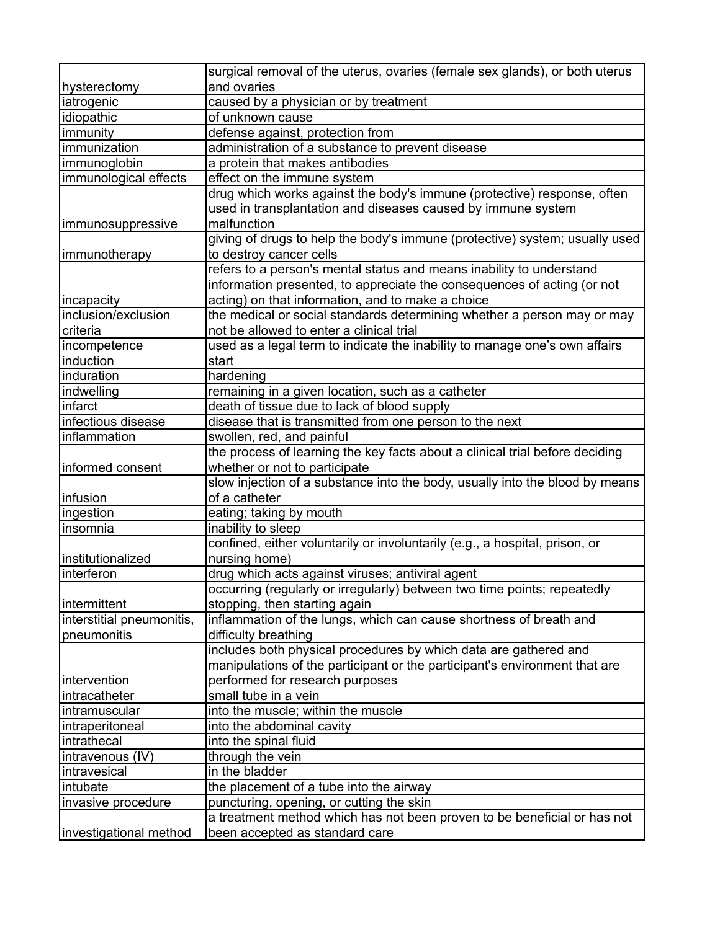|                                    | surgical removal of the uterus, ovaries (female sex glands), or both uterus                                   |
|------------------------------------|---------------------------------------------------------------------------------------------------------------|
| hysterectomy                       | and ovaries                                                                                                   |
| iatrogenic                         | caused by a physician or by treatment                                                                         |
| idiopathic                         | of unknown cause                                                                                              |
| immunity                           | defense against, protection from                                                                              |
| immunization                       | administration of a substance to prevent disease                                                              |
| immunoglobin                       | a protein that makes antibodies                                                                               |
| immunological effects              | effect on the immune system                                                                                   |
|                                    | drug which works against the body's immune (protective) response, often                                       |
|                                    | used in transplantation and diseases caused by immune system                                                  |
| immunosuppressive                  | malfunction                                                                                                   |
|                                    | giving of drugs to help the body's immune (protective) system; usually used                                   |
| immunotherapy                      | to destroy cancer cells                                                                                       |
|                                    | refers to a person's mental status and means inability to understand                                          |
|                                    | information presented, to appreciate the consequences of acting (or not                                       |
| incapacity                         | acting) on that information, and to make a choice                                                             |
| inclusion/exclusion                | the medical or social standards determining whether a person may or may                                       |
| criteria                           | not be allowed to enter a clinical trial                                                                      |
| incompetence                       | used as a legal term to indicate the inability to manage one's own affairs                                    |
| induction                          | start                                                                                                         |
| induration                         | hardening                                                                                                     |
| indwelling                         |                                                                                                               |
| infarct                            | remaining in a given location, such as a catheter<br>death of tissue due to lack of blood supply              |
|                                    |                                                                                                               |
| infectious disease<br>inflammation | disease that is transmitted from one person to the next                                                       |
|                                    | swollen, red, and painful<br>the process of learning the key facts about a clinical trial before deciding     |
|                                    |                                                                                                               |
| informed consent                   | whether or not to participate<br>slow injection of a substance into the body, usually into the blood by means |
|                                    |                                                                                                               |
| infusion                           | of a catheter                                                                                                 |
| ingestion<br>insomnia              | eating; taking by mouth                                                                                       |
|                                    | inability to sleep<br>confined, either voluntarily or involuntarily (e.g., a hospital, prison, or             |
| institutionalized                  | nursing home)                                                                                                 |
|                                    |                                                                                                               |
| interferon                         | drug which acts against viruses; antiviral agent                                                              |
|                                    | occurring (regularly or irregularly) between two time points; repeatedly                                      |
| intermittent                       | stopping, then starting again                                                                                 |
| interstitial pneumonitis,          | inflammation of the lungs, which can cause shortness of breath and                                            |
| pneumonitis                        | difficulty breathing<br>includes both physical procedures by which data are gathered and                      |
|                                    |                                                                                                               |
|                                    | manipulations of the participant or the participant's environment that are                                    |
| intervention                       | performed for research purposes                                                                               |
| intracatheter                      | small tube in a vein                                                                                          |
| intramuscular                      | into the muscle; within the muscle                                                                            |
| intraperitoneal                    | into the abdominal cavity                                                                                     |
| intrathecal                        | into the spinal fluid                                                                                         |
| intravenous (IV)                   | through the vein                                                                                              |
| intravesical                       | in the bladder                                                                                                |
| intubate                           | the placement of a tube into the airway                                                                       |
| invasive procedure                 | puncturing, opening, or cutting the skin                                                                      |
|                                    | a treatment method which has not been proven to be beneficial or has not                                      |
| investigational method             | been accepted as standard care                                                                                |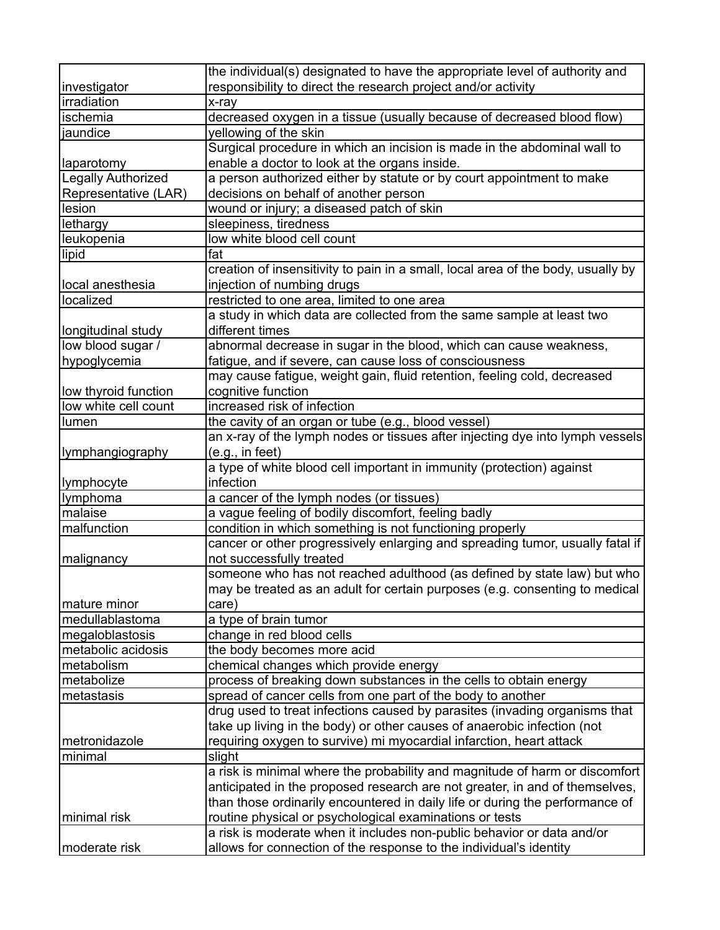|                           | the individual(s) designated to have the appropriate level of authority and      |
|---------------------------|----------------------------------------------------------------------------------|
| investigator              | responsibility to direct the research project and/or activity                    |
| irradiation               | x-ray                                                                            |
| ischemia                  | decreased oxygen in a tissue (usually because of decreased blood flow)           |
| jaundice                  | yellowing of the skin                                                            |
|                           | Surgical procedure in which an incision is made in the abdominal wall to         |
| laparotomy                | enable a doctor to look at the organs inside.                                    |
| <b>Legally Authorized</b> | a person authorized either by statute or by court appointment to make            |
| Representative (LAR)      | decisions on behalf of another person                                            |
| lesion                    | wound or injury; a diseased patch of skin                                        |
| lethargy                  | sleepiness, tiredness                                                            |
| leukopenia                | low white blood cell count                                                       |
| lipid                     | fat                                                                              |
|                           | creation of insensitivity to pain in a small, local area of the body, usually by |
| local anesthesia          | injection of numbing drugs                                                       |
| localized                 | restricted to one area, limited to one area                                      |
|                           | a study in which data are collected from the same sample at least two            |
| longitudinal study        | different times                                                                  |
| low blood sugar /         | abnormal decrease in sugar in the blood, which can cause weakness,               |
| hypoglycemia              | fatigue, and if severe, can cause loss of consciousness                          |
|                           | may cause fatigue, weight gain, fluid retention, feeling cold, decreased         |
| low thyroid function      | cognitive function                                                               |
| low white cell count      | increased risk of infection                                                      |
| lumen                     | the cavity of an organ or tube (e.g., blood vessel)                              |
|                           | an x-ray of the lymph nodes or tissues after injecting dye into lymph vessels    |
| llymphangiography         | (e.g., in feet)                                                                  |
|                           | a type of white blood cell important in immunity (protection) against            |
| lymphocyte                | infection                                                                        |
| lymphoma                  | a cancer of the lymph nodes (or tissues)                                         |
| malaise                   | a vague feeling of bodily discomfort, feeling badly                              |
| malfunction               | condition in which something is not functioning properly                         |
|                           | cancer or other progressively enlarging and spreading tumor, usually fatal if    |
| malignancy                | not successfully treated                                                         |
|                           | someone who has not reached adulthood (as defined by state law) but who          |
|                           | may be treated as an adult for certain purposes (e.g. consenting to medical      |
| mature minor              | care)                                                                            |
| medullablastoma           | a type of brain tumor                                                            |
| megaloblastosis           | change in red blood cells                                                        |
| metabolic acidosis        | the body becomes more acid                                                       |
| metabolism                | chemical changes which provide energy                                            |
| metabolize                | process of breaking down substances in the cells to obtain energy                |
| metastasis                | spread of cancer cells from one part of the body to another                      |
|                           | drug used to treat infections caused by parasites (invading organisms that       |
|                           | take up living in the body) or other causes of anaerobic infection (not          |
| metronidazole             | requiring oxygen to survive) mi myocardial infarction, heart attack              |
| minimal                   | slight                                                                           |
|                           | a risk is minimal where the probability and magnitude of harm or discomfort      |
|                           | anticipated in the proposed research are not greater, in and of themselves,      |
|                           | than those ordinarily encountered in daily life or during the performance of     |
| minimal risk              | routine physical or psychological examinations or tests                          |
|                           | a risk is moderate when it includes non-public behavior or data and/or           |
| moderate risk             | allows for connection of the response to the individual's identity               |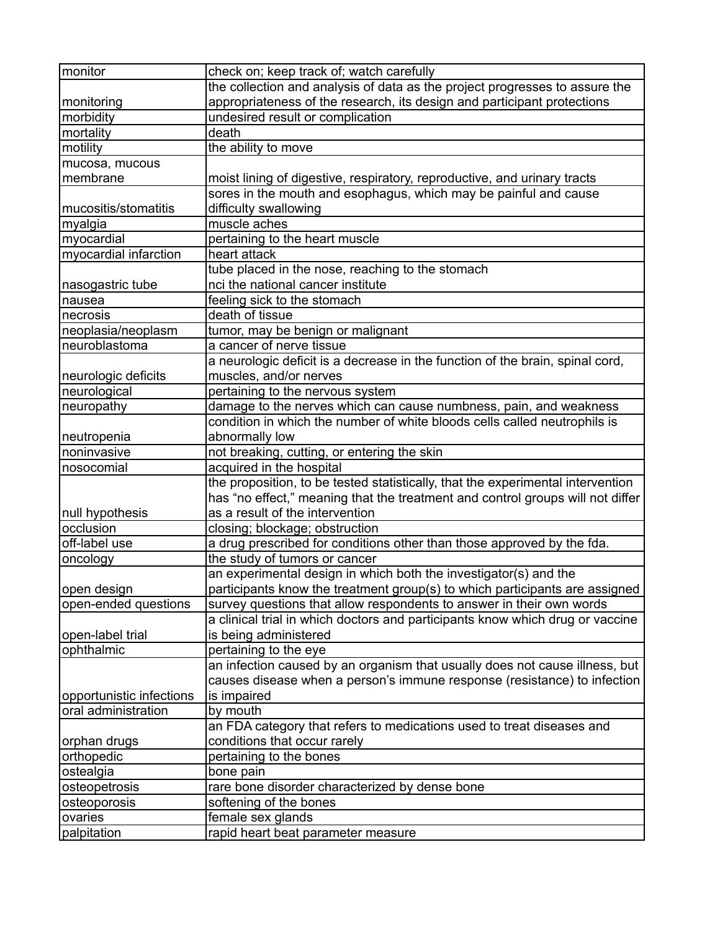| monitor                  | check on; keep track of; watch carefully                                        |
|--------------------------|---------------------------------------------------------------------------------|
|                          | the collection and analysis of data as the project progresses to assure the     |
| monitoring               | appropriateness of the research, its design and participant protections         |
| morbidity                | undesired result or complication                                                |
| mortality                | death                                                                           |
| motility                 | the ability to move                                                             |
| mucosa, mucous           |                                                                                 |
| membrane                 | moist lining of digestive, respiratory, reproductive, and urinary tracts        |
|                          | sores in the mouth and esophagus, which may be painful and cause                |
| mucositis/stomatitis     | difficulty swallowing                                                           |
| myalgia                  | muscle aches                                                                    |
| myocardial               | pertaining to the heart muscle                                                  |
| myocardial infarction    | heart attack                                                                    |
|                          | tube placed in the nose, reaching to the stomach                                |
| nasogastric tube         | nci the national cancer institute                                               |
| nausea                   | feeling sick to the stomach                                                     |
| necrosis                 | death of tissue                                                                 |
|                          | tumor, may be benign or malignant                                               |
| neoplasia/neoplasm       |                                                                                 |
| neuroblastoma            | a cancer of nerve tissue                                                        |
|                          | a neurologic deficit is a decrease in the function of the brain, spinal cord,   |
| neurologic deficits      | muscles, and/or nerves                                                          |
| neurological             | pertaining to the nervous system                                                |
| neuropathy               | damage to the nerves which can cause numbness, pain, and weakness               |
|                          | condition in which the number of white bloods cells called neutrophils is       |
| neutropenia              | abnormally low                                                                  |
| noninvasive              | not breaking, cutting, or entering the skin                                     |
| nosocomial               | acquired in the hospital                                                        |
|                          | the proposition, to be tested statistically, that the experimental intervention |
|                          | has "no effect," meaning that the treatment and control groups will not differ  |
| null hypothesis          | as a result of the intervention                                                 |
| occlusion                | closing; blockage; obstruction                                                  |
| off-label use            | a drug prescribed for conditions other than those approved by the fda.          |
| oncology                 | the study of tumors or cancer                                                   |
|                          | an experimental design in which both the investigator(s) and the                |
| open design              | participants know the treatment group(s) to which participants are assigned     |
| open-ended questions     | survey questions that allow respondents to answer in their own words            |
|                          | a clinical trial in which doctors and participants know which drug or vaccine   |
| open-label trial         | is being administered                                                           |
| ophthalmic               | pertaining to the eye                                                           |
|                          | an infection caused by an organism that usually does not cause illness, but     |
|                          | causes disease when a person's immune response (resistance) to infection        |
| opportunistic infections | is impaired                                                                     |
| oral administration      | by mouth                                                                        |
|                          | an FDA category that refers to medications used to treat diseases and           |
| orphan drugs             | conditions that occur rarely                                                    |
| orthopedic               | pertaining to the bones                                                         |
| ostealgia                | bone pain                                                                       |
| osteopetrosis            | rare bone disorder characterized by dense bone                                  |
| osteoporosis             | softening of the bones                                                          |
| ovaries                  | female sex glands                                                               |
| palpitation              | rapid heart beat parameter measure                                              |
|                          |                                                                                 |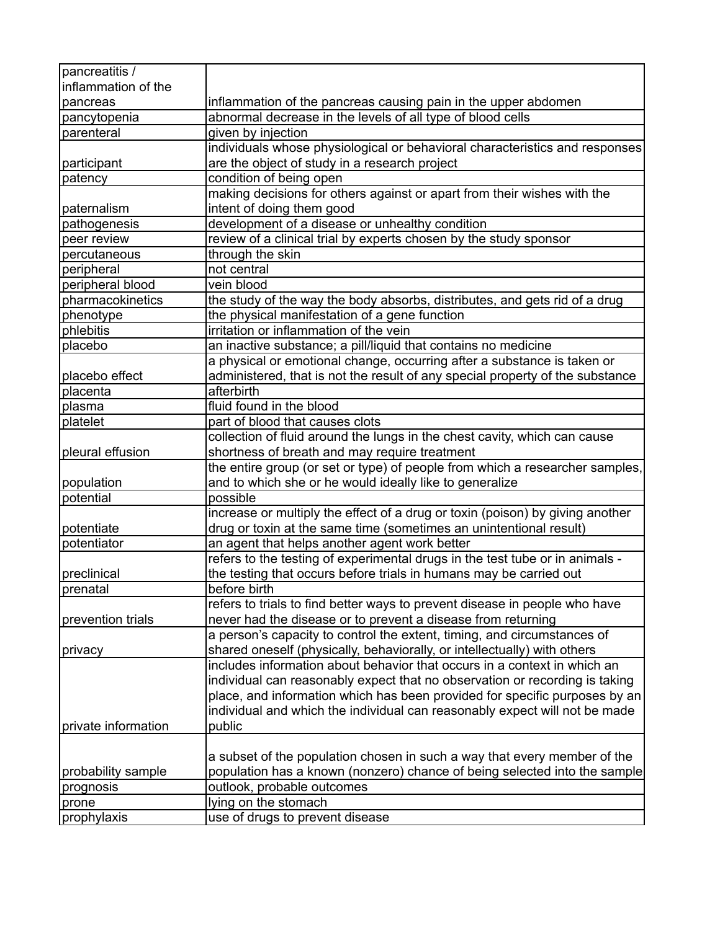| pancreatitis /      |                                                                               |
|---------------------|-------------------------------------------------------------------------------|
| inflammation of the |                                                                               |
| pancreas            | inflammation of the pancreas causing pain in the upper abdomen                |
| pancytopenia        | abnormal decrease in the levels of all type of blood cells                    |
| parenteral          | given by injection                                                            |
|                     | individuals whose physiological or behavioral characteristics and responses   |
| participant         | are the object of study in a research project                                 |
| patency             | condition of being open                                                       |
|                     | making decisions for others against or apart from their wishes with the       |
| paternalism         | intent of doing them good                                                     |
| pathogenesis        | development of a disease or unhealthy condition                               |
| peer review         | review of a clinical trial by experts chosen by the study sponsor             |
| percutaneous        | through the skin                                                              |
| peripheral          | not central                                                                   |
| peripheral blood    | vein blood                                                                    |
| pharmacokinetics    | the study of the way the body absorbs, distributes, and gets rid of a drug    |
| phenotype           | the physical manifestation of a gene function                                 |
| phlebitis           | irritation or inflammation of the vein                                        |
| placebo             | an inactive substance; a pill/liquid that contains no medicine                |
|                     | a physical or emotional change, occurring after a substance is taken or       |
| placebo effect      | administered, that is not the result of any special property of the substance |
| placenta            | afterbirth                                                                    |
| plasma              | fluid found in the blood                                                      |
| platelet            | part of blood that causes clots                                               |
|                     | collection of fluid around the lungs in the chest cavity, which can cause     |
| pleural effusion    | shortness of breath and may require treatment                                 |
|                     | the entire group (or set or type) of people from which a researcher samples,  |
| population          | and to which she or he would ideally like to generalize                       |
| potential           | possible                                                                      |
|                     | increase or multiply the effect of a drug or toxin (poison) by giving another |
| potentiate          | drug or toxin at the same time (sometimes an unintentional result)            |
| potentiator         | an agent that helps another agent work better                                 |
|                     | refers to the testing of experimental drugs in the test tube or in animals -  |
| preclinical         | the testing that occurs before trials in humans may be carried out            |
| prenatal            | before birth                                                                  |
|                     | refers to trials to find better ways to prevent disease in people who have    |
| prevention trials   | never had the disease or to prevent a disease from returning                  |
|                     | a person's capacity to control the extent, timing, and circumstances of       |
| privacy             | shared oneself (physically, behaviorally, or intellectually) with others      |
|                     | includes information about behavior that occurs in a context in which an      |
|                     | individual can reasonably expect that no observation or recording is taking   |
|                     | place, and information which has been provided for specific purposes by an    |
|                     | individual and which the individual can reasonably expect will not be made    |
| private information | public                                                                        |
|                     |                                                                               |
|                     | a subset of the population chosen in such a way that every member of the      |
| probability sample  | population has a known (nonzero) chance of being selected into the sample     |
| prognosis           | outlook, probable outcomes                                                    |
| prone               | lying on the stomach                                                          |
| prophylaxis         | use of drugs to prevent disease                                               |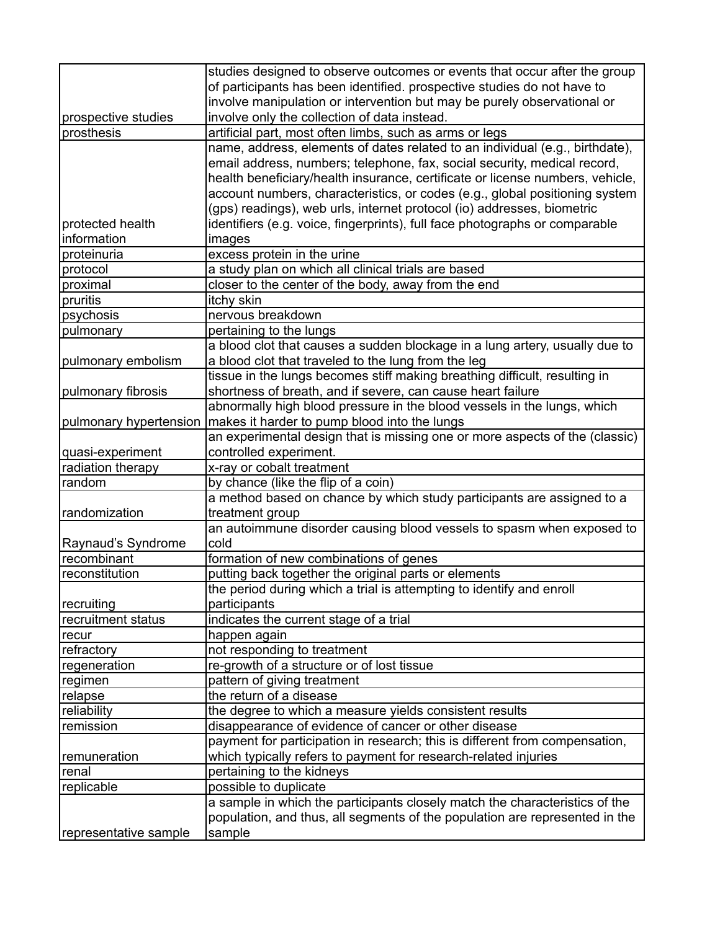|                        | studies designed to observe outcomes or events that occur after the group<br>of participants has been identified. prospective studies do not have to |
|------------------------|------------------------------------------------------------------------------------------------------------------------------------------------------|
|                        | involve manipulation or intervention but may be purely observational or                                                                              |
| prospective studies    | involve only the collection of data instead.                                                                                                         |
| prosthesis             | artificial part, most often limbs, such as arms or legs                                                                                              |
|                        | name, address, elements of dates related to an individual (e.g., birthdate),                                                                         |
|                        |                                                                                                                                                      |
|                        | email address, numbers; telephone, fax, social security, medical record,                                                                             |
|                        | health beneficiary/health insurance, certificate or license numbers, vehicle,                                                                        |
|                        | account numbers, characteristics, or codes (e.g., global positioning system                                                                          |
|                        | (gps) readings), web urls, internet protocol (io) addresses, biometric                                                                               |
| protected health       | identifiers (e.g. voice, fingerprints), full face photographs or comparable                                                                          |
| information            | images                                                                                                                                               |
| proteinuria            | excess protein in the urine                                                                                                                          |
| protocol               | a study plan on which all clinical trials are based                                                                                                  |
| proximal               | closer to the center of the body, away from the end                                                                                                  |
| pruritis               | itchy skin                                                                                                                                           |
| psychosis              | nervous breakdown                                                                                                                                    |
| pulmonary              | pertaining to the lungs                                                                                                                              |
|                        | a blood clot that causes a sudden blockage in a lung artery, usually due to                                                                          |
| pulmonary embolism     | a blood clot that traveled to the lung from the leg                                                                                                  |
|                        | tissue in the lungs becomes stiff making breathing difficult, resulting in                                                                           |
| pulmonary fibrosis     | shortness of breath, and if severe, can cause heart failure                                                                                          |
|                        | abnormally high blood pressure in the blood vessels in the lungs, which                                                                              |
| pulmonary hypertension | makes it harder to pump blood into the lungs                                                                                                         |
|                        | an experimental design that is missing one or more aspects of the (classic)                                                                          |
| quasi-experiment       | controlled experiment.                                                                                                                               |
| radiation therapy      | x-ray or cobalt treatment                                                                                                                            |
| random                 | by chance (like the flip of a coin)                                                                                                                  |
|                        | a method based on chance by which study participants are assigned to a                                                                               |
| randomization          | treatment group                                                                                                                                      |
|                        | an autoimmune disorder causing blood vessels to spasm when exposed to                                                                                |
| Raynaud's Syndrome     | cold                                                                                                                                                 |
| recombinant            | formation of new combinations of genes                                                                                                               |
| reconstitution         | putting back together the original parts or elements                                                                                                 |
|                        | the period during which a trial is attempting to identify and enroll                                                                                 |
| recruiting             | participants                                                                                                                                         |
| recruitment status     | indicates the current stage of a trial                                                                                                               |
| recur                  | happen again                                                                                                                                         |
| refractory             | not responding to treatment                                                                                                                          |
| regeneration           | re-growth of a structure or of lost tissue                                                                                                           |
| regimen                | pattern of giving treatment                                                                                                                          |
| relapse                | the return of a disease                                                                                                                              |
| reliability            | the degree to which a measure yields consistent results                                                                                              |
| remission              | disappearance of evidence of cancer or other disease                                                                                                 |
|                        | payment for participation in research; this is different from compensation,                                                                          |
| remuneration           | which typically refers to payment for research-related injuries                                                                                      |
| renal                  | pertaining to the kidneys                                                                                                                            |
| replicable             | possible to duplicate                                                                                                                                |
|                        | a sample in which the participants closely match the characteristics of the                                                                          |
|                        | population, and thus, all segments of the population are represented in the                                                                          |
| representative sample  | sample                                                                                                                                               |
|                        |                                                                                                                                                      |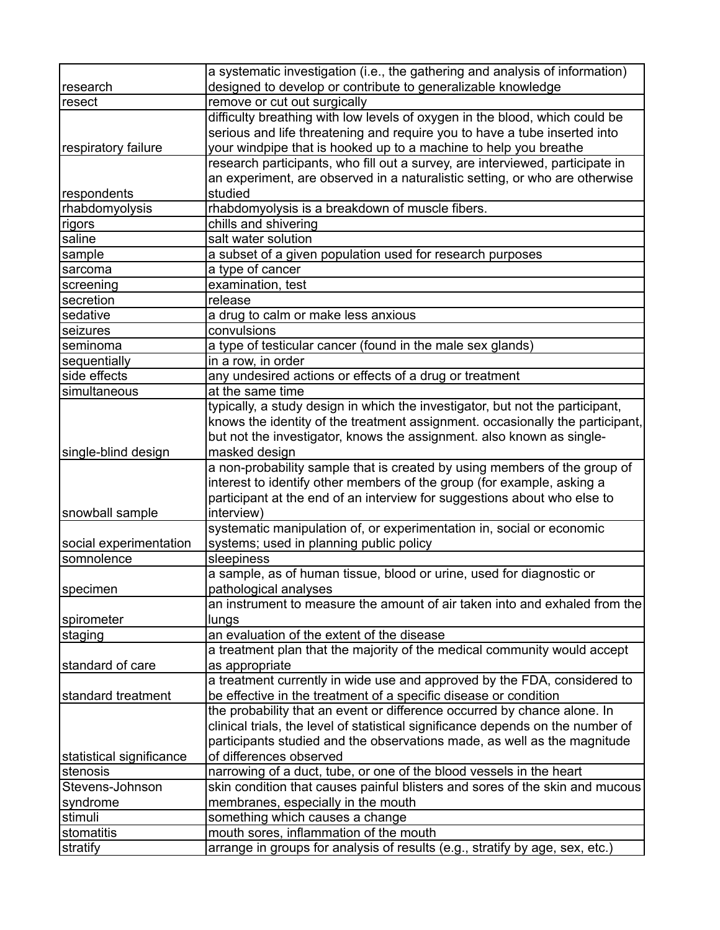|                          | a systematic investigation (i.e., the gathering and analysis of information)    |
|--------------------------|---------------------------------------------------------------------------------|
| research                 | designed to develop or contribute to generalizable knowledge                    |
| resect                   | remove or cut out surgically                                                    |
|                          | difficulty breathing with low levels of oxygen in the blood, which could be     |
|                          | serious and life threatening and require you to have a tube inserted into       |
| respiratory failure      | your windpipe that is hooked up to a machine to help you breathe                |
|                          | research participants, who fill out a survey, are interviewed, participate in   |
|                          | an experiment, are observed in a naturalistic setting, or who are otherwise     |
| respondents              | studied                                                                         |
| rhabdomyolysis           | rhabdomyolysis is a breakdown of muscle fibers.                                 |
| rigors                   | chills and shivering                                                            |
| saline                   | salt water solution                                                             |
| sample                   | a subset of a given population used for research purposes                       |
| sarcoma                  | a type of cancer                                                                |
| screening                | examination, test                                                               |
| secretion                | release                                                                         |
| sedative                 | a drug to calm or make less anxious                                             |
| seizures                 | convulsions                                                                     |
| seminoma                 | a type of testicular cancer (found in the male sex glands)                      |
| sequentially             | in a row, in order                                                              |
| side effects             | any undesired actions or effects of a drug or treatment                         |
| simultaneous             | at the same time                                                                |
|                          | typically, a study design in which the investigator, but not the participant,   |
|                          | knows the identity of the treatment assignment. occasionally the participant,   |
|                          | but not the investigator, knows the assignment. also known as single-           |
| single-blind design      | masked design                                                                   |
|                          | a non-probability sample that is created by using members of the group of       |
|                          | interest to identify other members of the group (for example, asking a          |
|                          | participant at the end of an interview for suggestions about who else to        |
| snowball sample          | interview)                                                                      |
|                          | systematic manipulation of, or experimentation in, social or economic           |
| social experimentation   | systems; used in planning public policy                                         |
| somnolence               | sleepiness                                                                      |
|                          | a sample, as of human tissue, blood or urine, used for diagnostic or            |
| specimen                 | pathological analyses                                                           |
|                          | an instrument to measure the amount of air taken into and exhaled from the      |
| spirometer               | lungs                                                                           |
| staging                  | an evaluation of the extent of the disease                                      |
|                          | a treatment plan that the majority of the medical community would accept        |
| standard of care         | as appropriate                                                                  |
|                          | a treatment currently in wide use and approved by the FDA, considered to        |
| standard treatment       | be effective in the treatment of a specific disease or condition                |
|                          | the probability that an event or difference occurred by chance alone. In        |
|                          | clinical trials, the level of statistical significance depends on the number of |
|                          | participants studied and the observations made, as well as the magnitude        |
| statistical significance | of differences observed                                                         |
| stenosis                 | narrowing of a duct, tube, or one of the blood vessels in the heart             |
| Stevens-Johnson          | skin condition that causes painful blisters and sores of the skin and mucous    |
| syndrome                 | membranes, especially in the mouth                                              |
| stimuli                  | something which causes a change                                                 |
| stomatitis               | mouth sores, inflammation of the mouth                                          |
| stratify                 | arrange in groups for analysis of results (e.g., stratify by age, sex, etc.)    |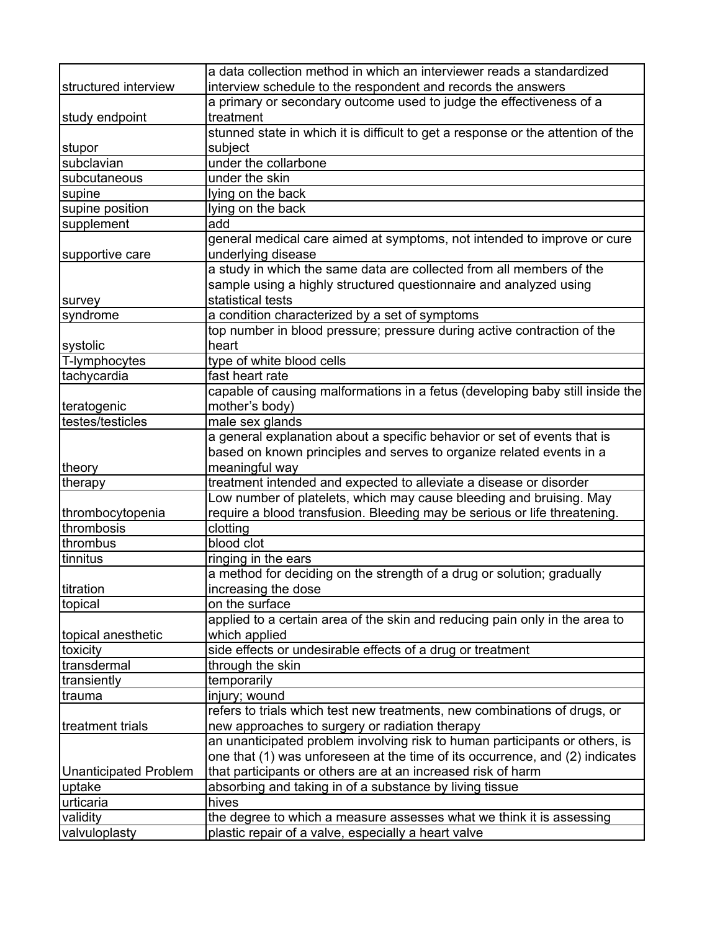|                                | a data collection method in which an interviewer reads a standardized            |
|--------------------------------|----------------------------------------------------------------------------------|
| structured interview           | interview schedule to the respondent and records the answers                     |
|                                | a primary or secondary outcome used to judge the effectiveness of a              |
| study endpoint                 | treatment                                                                        |
|                                | stunned state in which it is difficult to get a response or the attention of the |
| stupor                         | subject                                                                          |
| subclavian                     | under the collarbone                                                             |
| subcutaneous                   | under the skin                                                                   |
| supine                         | lying on the back                                                                |
| supine position                | lying on the back                                                                |
| supplement                     | add                                                                              |
|                                | general medical care aimed at symptoms, not intended to improve or cure          |
| supportive care                | underlying disease                                                               |
|                                | a study in which the same data are collected from all members of the             |
|                                | sample using a highly structured questionnaire and analyzed using                |
| survey                         | statistical tests                                                                |
| syndrome                       | a condition characterized by a set of symptoms                                   |
|                                | top number in blood pressure; pressure during active contraction of the          |
| systolic                       | heart                                                                            |
| T-lymphocytes                  | type of white blood cells                                                        |
| tachycardia                    | fast heart rate                                                                  |
|                                | capable of causing malformations in a fetus (developing baby still inside the    |
| teratogenic                    | mother's body)                                                                   |
| testes/testicles               | male sex glands                                                                  |
|                                | a general explanation about a specific behavior or set of events that is         |
|                                | based on known principles and serves to organize related events in a             |
|                                |                                                                                  |
| theory                         | meaningful way                                                                   |
| therapy                        | treatment intended and expected to alleviate a disease or disorder               |
|                                | Low number of platelets, which may cause bleeding and bruising. May              |
| thrombocytopenia<br>thrombosis | require a blood transfusion. Bleeding may be serious or life threatening.        |
|                                | clotting                                                                         |
| thrombus                       | blood clot                                                                       |
| tinnitus                       | ringing in the ears                                                              |
|                                | a method for deciding on the strength of a drug or solution; gradually           |
| titration                      | increasing the dose                                                              |
| topical                        | on the surface                                                                   |
|                                | applied to a certain area of the skin and reducing pain only in the area to      |
| topical anesthetic             | which applied                                                                    |
| toxicity                       | side effects or undesirable effects of a drug or treatment                       |
| transdermal                    | through the skin                                                                 |
| transiently                    | temporarily                                                                      |
| trauma                         | injury; wound                                                                    |
|                                | refers to trials which test new treatments, new combinations of drugs, or        |
| treatment trials               | new approaches to surgery or radiation therapy                                   |
|                                | an unanticipated problem involving risk to human participants or others, is      |
|                                | one that (1) was unforeseen at the time of its occurrence, and (2) indicates     |
| <b>Unanticipated Problem</b>   | that participants or others are at an increased risk of harm                     |
| uptake                         | absorbing and taking in of a substance by living tissue                          |
| urticaria                      | hives                                                                            |
| validity                       | the degree to which a measure assesses what we think it is assessing             |
| valvuloplasty                  | plastic repair of a valve, especially a heart valve                              |
|                                |                                                                                  |